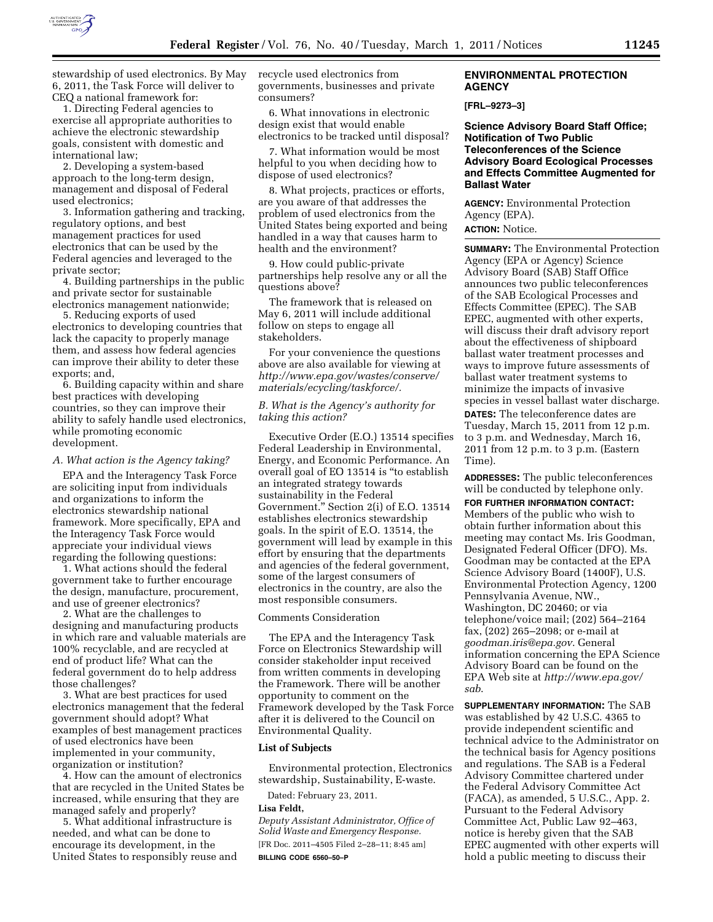

stewardship of used electronics. By May 6, 2011, the Task Force will deliver to CEQ a national framework for:

1. Directing Federal agencies to exercise all appropriate authorities to achieve the electronic stewardship goals, consistent with domestic and international law;

2. Developing a system-based approach to the long-term design, management and disposal of Federal used electronics;

3. Information gathering and tracking, regulatory options, and best management practices for used electronics that can be used by the Federal agencies and leveraged to the private sector;

4. Building partnerships in the public and private sector for sustainable electronics management nationwide;

5. Reducing exports of used electronics to developing countries that lack the capacity to properly manage them, and assess how federal agencies can improve their ability to deter these exports; and,

6. Building capacity within and share best practices with developing countries, so they can improve their ability to safely handle used electronics, while promoting economic development.

#### *A. What action is the Agency taking?*

EPA and the Interagency Task Force are soliciting input from individuals and organizations to inform the electronics stewardship national framework. More specifically, EPA and the Interagency Task Force would appreciate your individual views regarding the following questions:

1. What actions should the federal government take to further encourage the design, manufacture, procurement, and use of greener electronics?

2. What are the challenges to designing and manufacturing products in which rare and valuable materials are 100% recyclable, and are recycled at end of product life? What can the federal government do to help address those challenges?

3. What are best practices for used electronics management that the federal government should adopt? What examples of best management practices of used electronics have been implemented in your community, organization or institution?

4. How can the amount of electronics that are recycled in the United States be increased, while ensuring that they are managed safely and properly?

5. What additional infrastructure is needed, and what can be done to encourage its development, in the United States to responsibly reuse and recycle used electronics from governments, businesses and private consumers?

6. What innovations in electronic design exist that would enable electronics to be tracked until disposal?

7. What information would be most helpful to you when deciding how to dispose of used electronics?

8. What projects, practices or efforts, are you aware of that addresses the problem of used electronics from the United States being exported and being handled in a way that causes harm to health and the environment?

9. How could public-private partnerships help resolve any or all the questions above?

The framework that is released on May 6, 2011 will include additional follow on steps to engage all stakeholders.

For your convenience the questions above are also available for viewing at *[http://www.epa.gov/wastes/conserve/](http://www.epa.gov/wastes/conserve/materials/ecycling/taskforce/) [materials/ecycling/taskforce/.](http://www.epa.gov/wastes/conserve/materials/ecycling/taskforce/)* 

# *B. What is the Agency's authority for taking this action?*

Executive Order (E.O.) 13514 specifies Federal Leadership in Environmental, Energy, and Economic Performance. An overall goal of EO 13514 is ''to establish an integrated strategy towards sustainability in the Federal Government.'' Section 2(i) of E.O. 13514 establishes electronics stewardship goals. In the spirit of E.O. 13514, the government will lead by example in this effort by ensuring that the departments and agencies of the federal government, some of the largest consumers of electronics in the country, are also the most responsible consumers.

### Comments Consideration

The EPA and the Interagency Task Force on Electronics Stewardship will consider stakeholder input received from written comments in developing the Framework. There will be another opportunity to comment on the Framework developed by the Task Force after it is delivered to the Council on Environmental Quality.

#### **List of Subjects**

Environmental protection, Electronics stewardship, Sustainability, E-waste.

Dated: February 23, 2011.

#### **Lisa Feldt,**

*Deputy Assistant Administrator, Office of Solid Waste and Emergency Response.*  [FR Doc. 2011–4505 Filed 2–28–11; 8:45 am] **BILLING CODE 6560–50–P** 

## **ENVIRONMENTAL PROTECTION AGENCY**

#### **[FRL–9273–3]**

**Science Advisory Board Staff Office; Notification of Two Public Teleconferences of the Science Advisory Board Ecological Processes and Effects Committee Augmented for Ballast Water** 

**AGENCY:** Environmental Protection Agency (EPA). **ACTION:** Notice.

**SUMMARY:** The Environmental Protection Agency (EPA or Agency) Science Advisory Board (SAB) Staff Office announces two public teleconferences of the SAB Ecological Processes and Effects Committee (EPEC). The SAB EPEC, augmented with other experts, will discuss their draft advisory report about the effectiveness of shipboard ballast water treatment processes and ways to improve future assessments of ballast water treatment systems to minimize the impacts of invasive species in vessel ballast water discharge. **DATES:** The teleconference dates are

Tuesday, March 15, 2011 from 12 p.m. to 3 p.m. and Wednesday, March 16, 2011 from 12 p.m. to 3 p.m. (Eastern Time).

**ADDRESSES:** The public teleconferences will be conducted by telephone only.

**FOR FURTHER INFORMATION CONTACT:**  Members of the public who wish to obtain further information about this meeting may contact Ms. Iris Goodman, Designated Federal Officer (DFO). Ms. Goodman may be contacted at the EPA Science Advisory Board (1400F), U.S. Environmental Protection Agency, 1200 Pennsylvania Avenue, NW., Washington, DC 20460; or via telephone/voice mail; (202) 564–2164 fax, (202) 265–2098; or e-mail at *[goodman.iris@epa.gov](mailto:goodman.iris@epa.gov)*. General information concerning the EPA Science Advisory Board can be found on the EPA Web site at *[http://www.epa.gov/](http://www.epa.gov/sab) [sab](http://www.epa.gov/sab)*.

**SUPPLEMENTARY INFORMATION:** The SAB was established by 42 U.S.C. 4365 to provide independent scientific and technical advice to the Administrator on the technical basis for Agency positions and regulations. The SAB is a Federal Advisory Committee chartered under the Federal Advisory Committee Act (FACA), as amended, 5 U.S.C., App. 2. Pursuant to the Federal Advisory Committee Act, Public Law 92–463, notice is hereby given that the SAB EPEC augmented with other experts will hold a public meeting to discuss their